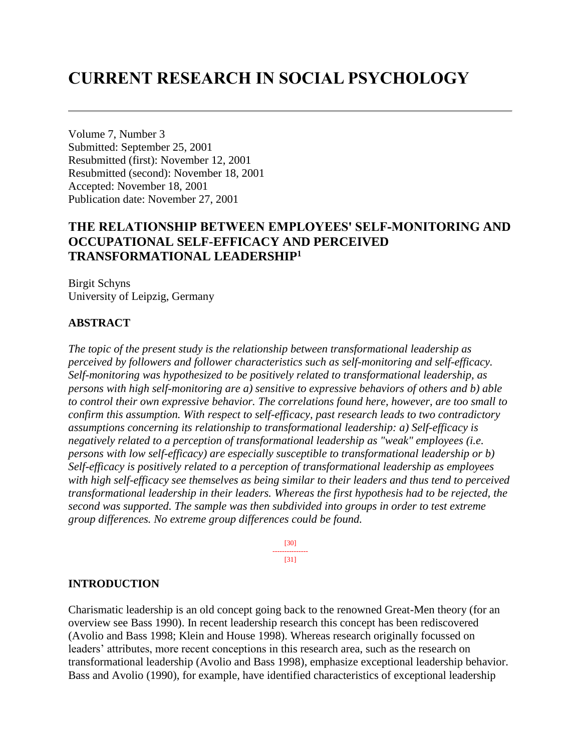# **CURRENT RESEARCH IN SOCIAL PSYCHOLOGY**

Volume 7, Number 3 Submitted: September 25, 2001 Resubmitted (first): November 12, 2001 Resubmitted (second): November 18, 2001 Accepted: November 18, 2001 Publication date: November 27, 2001

## **THE RELATIONSHIP BETWEEN EMPLOYEES' SELF-MONITORING AND OCCUPATIONAL SELF-EFFICACY AND PERCEIVED TRANSFORMATIONAL LEADERSHIP<sup>1</sup>**

Birgit Schyns University of Leipzig, Germany

### **ABSTRACT**

*The topic of the present study is the relationship between transformational leadership as perceived by followers and follower characteristics such as self-monitoring and self-efficacy. Self-monitoring was hypothesized to be positively related to transformational leadership, as persons with high self-monitoring are a) sensitive to expressive behaviors of others and b) able to control their own expressive behavior. The correlations found here, however, are too small to confirm this assumption. With respect to self-efficacy, past research leads to two contradictory assumptions concerning its relationship to transformational leadership: a) Self-efficacy is negatively related to a perception of transformational leadership as "weak" employees (i.e. persons with low self-efficacy) are especially susceptible to transformational leadership or b) Self-efficacy is positively related to a perception of transformational leadership as employees with high self-efficacy see themselves as being similar to their leaders and thus tend to perceived transformational leadership in their leaders. Whereas the first hypothesis had to be rejected, the second was supported. The sample was then subdivided into groups in order to test extreme group differences. No extreme group differences could be found.*

> [30] --------------- [31]

#### **INTRODUCTION**

Charismatic leadership is an old concept going back to the renowned Great-Men theory (for an overview see Bass 1990). In recent leadership research this concept has been rediscovered (Avolio and Bass 1998; Klein and House 1998). Whereas research originally focussed on leaders' attributes, more recent conceptions in this research area, such as the research on transformational leadership (Avolio and Bass 1998), emphasize exceptional leadership behavior. Bass and Avolio (1990), for example, have identified characteristics of exceptional leadership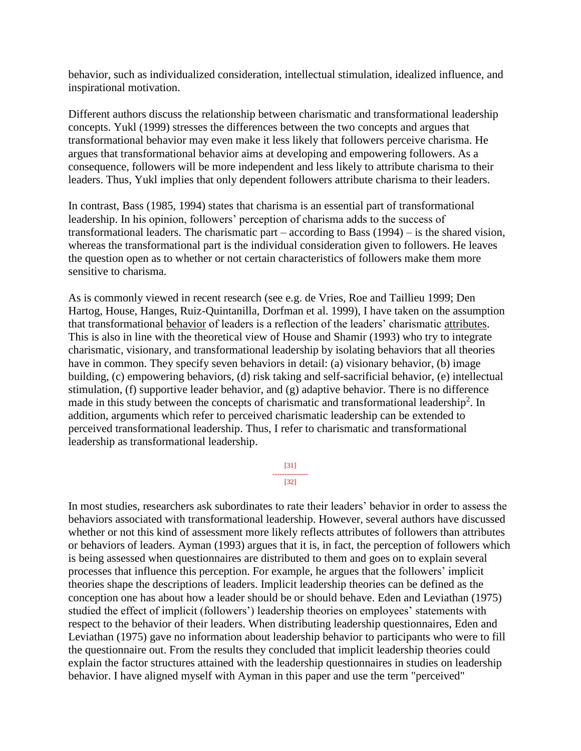behavior, such as individualized consideration, intellectual stimulation, idealized influence, and inspirational motivation.

Different authors discuss the relationship between charismatic and transformational leadership concepts. Yukl (1999) stresses the differences between the two concepts and argues that transformational behavior may even make it less likely that followers perceive charisma. He argues that transformational behavior aims at developing and empowering followers. As a consequence, followers will be more independent and less likely to attribute charisma to their leaders. Thus, Yukl implies that only dependent followers attribute charisma to their leaders.

In contrast, Bass (1985, 1994) states that charisma is an essential part of transformational leadership. In his opinion, followers' perception of charisma adds to the success of transformational leaders. The charismatic part – according to Bass (1994) – is the shared vision, whereas the transformational part is the individual consideration given to followers. He leaves the question open as to whether or not certain characteristics of followers make them more sensitive to charisma.

As is commonly viewed in recent research (see e.g. de Vries, Roe and Taillieu 1999; Den Hartog, House, Hanges, Ruiz-Quintanilla, Dorfman et al. 1999), I have taken on the assumption that transformational behavior of leaders is a reflection of the leaders' charismatic attributes. This is also in line with the theoretical view of House and Shamir (1993) who try to integrate charismatic, visionary, and transformational leadership by isolating behaviors that all theories have in common. They specify seven behaviors in detail: (a) visionary behavior, (b) image building, (c) empowering behaviors, (d) risk taking and self-sacrificial behavior, (e) intellectual stimulation, (f) supportive leader behavior, and (g) adaptive behavior. There is no difference made in this study between the concepts of charismatic and transformational leadership<sup>2</sup>. In addition, arguments which refer to perceived charismatic leadership can be extended to perceived transformational leadership. Thus, I refer to charismatic and transformational leadership as transformational leadership.

> [31] --------------- [32]

In most studies, researchers ask subordinates to rate their leaders' behavior in order to assess the behaviors associated with transformational leadership. However, several authors have discussed whether or not this kind of assessment more likely reflects attributes of followers than attributes or behaviors of leaders. Ayman (1993) argues that it is, in fact, the perception of followers which is being assessed when questionnaires are distributed to them and goes on to explain several processes that influence this perception. For example, he argues that the followers' implicit theories shape the descriptions of leaders. Implicit leadership theories can be defined as the conception one has about how a leader should be or should behave. Eden and Leviathan (1975) studied the effect of implicit (followers') leadership theories on employees' statements with respect to the behavior of their leaders. When distributing leadership questionnaires, Eden and Leviathan (1975) gave no information about leadership behavior to participants who were to fill the questionnaire out. From the results they concluded that implicit leadership theories could explain the factor structures attained with the leadership questionnaires in studies on leadership behavior. I have aligned myself with Ayman in this paper and use the term "perceived"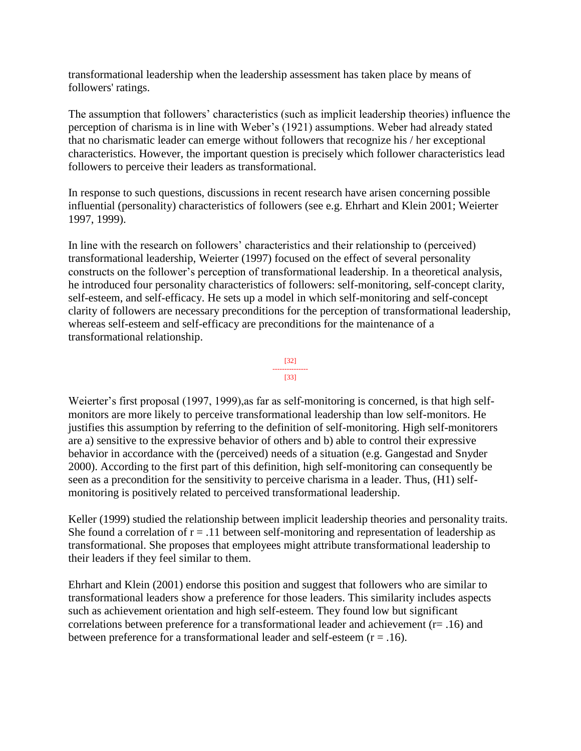transformational leadership when the leadership assessment has taken place by means of followers' ratings.

The assumption that followers' characteristics (such as implicit leadership theories) influence the perception of charisma is in line with Weber's (1921) assumptions. Weber had already stated that no charismatic leader can emerge without followers that recognize his / her exceptional characteristics. However, the important question is precisely which follower characteristics lead followers to perceive their leaders as transformational.

In response to such questions, discussions in recent research have arisen concerning possible influential (personality) characteristics of followers (see e.g. Ehrhart and Klein 2001; Weierter 1997, 1999).

In line with the research on followers' characteristics and their relationship to (perceived) transformational leadership, Weierter (1997) focused on the effect of several personality constructs on the follower's perception of transformational leadership. In a theoretical analysis, he introduced four personality characteristics of followers: self-monitoring, self-concept clarity, self-esteem, and self-efficacy. He sets up a model in which self-monitoring and self-concept clarity of followers are necessary preconditions for the perception of transformational leadership, whereas self-esteem and self-efficacy are preconditions for the maintenance of a transformational relationship.



Weierter's first proposal (1997, 1999), as far as self-monitoring is concerned, is that high selfmonitors are more likely to perceive transformational leadership than low self-monitors. He justifies this assumption by referring to the definition of self-monitoring. High self-monitorers are a) sensitive to the expressive behavior of others and b) able to control their expressive behavior in accordance with the (perceived) needs of a situation (e.g. Gangestad and Snyder 2000). According to the first part of this definition, high self-monitoring can consequently be seen as a precondition for the sensitivity to perceive charisma in a leader. Thus, (H1) selfmonitoring is positively related to perceived transformational leadership.

Keller (1999) studied the relationship between implicit leadership theories and personality traits. She found a correlation of  $r = .11$  between self-monitoring and representation of leadership as transformational. She proposes that employees might attribute transformational leadership to their leaders if they feel similar to them.

Ehrhart and Klein (2001) endorse this position and suggest that followers who are similar to transformational leaders show a preference for those leaders. This similarity includes aspects such as achievement orientation and high self-esteem. They found low but significant correlations between preference for a transformational leader and achievement (r= .16) and between preference for a transformational leader and self-esteem  $(r = .16)$ .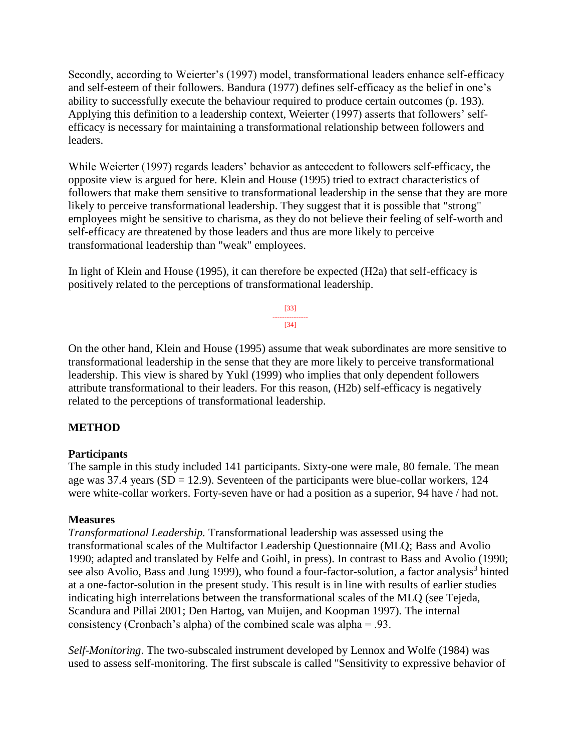Secondly, according to Weierter's (1997) model, transformational leaders enhance self-efficacy and self-esteem of their followers. Bandura (1977) defines self-efficacy as the belief in one's ability to successfully execute the behaviour required to produce certain outcomes (p. 193). Applying this definition to a leadership context, Weierter (1997) asserts that followers' selfefficacy is necessary for maintaining a transformational relationship between followers and leaders.

While Weierter (1997) regards leaders' behavior as antecedent to followers self-efficacy, the opposite view is argued for here. Klein and House (1995) tried to extract characteristics of followers that make them sensitive to transformational leadership in the sense that they are more likely to perceive transformational leadership. They suggest that it is possible that "strong" employees might be sensitive to charisma, as they do not believe their feeling of self-worth and self-efficacy are threatened by those leaders and thus are more likely to perceive transformational leadership than "weak" employees.

In light of Klein and House (1995), it can therefore be expected (H2a) that self-efficacy is positively related to the perceptions of transformational leadership.

> [33] --------------- [34]

On the other hand, Klein and House (1995) assume that weak subordinates are more sensitive to transformational leadership in the sense that they are more likely to perceive transformational leadership. This view is shared by Yukl (1999) who implies that only dependent followers attribute transformational to their leaders. For this reason, (H2b) self-efficacy is negatively related to the perceptions of transformational leadership.

## **METHOD**

## **Participants**

The sample in this study included 141 participants. Sixty-one were male, 80 female. The mean age was 37.4 years ( $SD = 12.9$ ). Seventeen of the participants were blue-collar workers, 124 were white-collar workers. Forty-seven have or had a position as a superior, 94 have / had not.

#### **Measures**

*Transformational Leadership.* Transformational leadership was assessed using the transformational scales of the Multifactor Leadership Questionnaire (MLQ; Bass and Avolio 1990; adapted and translated by Felfe and Goihl, in press). In contrast to Bass and Avolio (1990; see also Avolio, Bass and Jung 1999), who found a four-factor-solution, a factor analysis<sup>3</sup> hinted at a one-factor-solution in the present study. This result is in line with results of earlier studies indicating high interrelations between the transformational scales of the MLQ (see Tejeda, Scandura and Pillai 2001; Den Hartog, van Muijen, and Koopman 1997). The internal consistency (Cronbach's alpha) of the combined scale was alpha = .93.

*Self-Monitoring*. The two-subscaled instrument developed by Lennox and Wolfe (1984) was used to assess self-monitoring. The first subscale is called "Sensitivity to expressive behavior of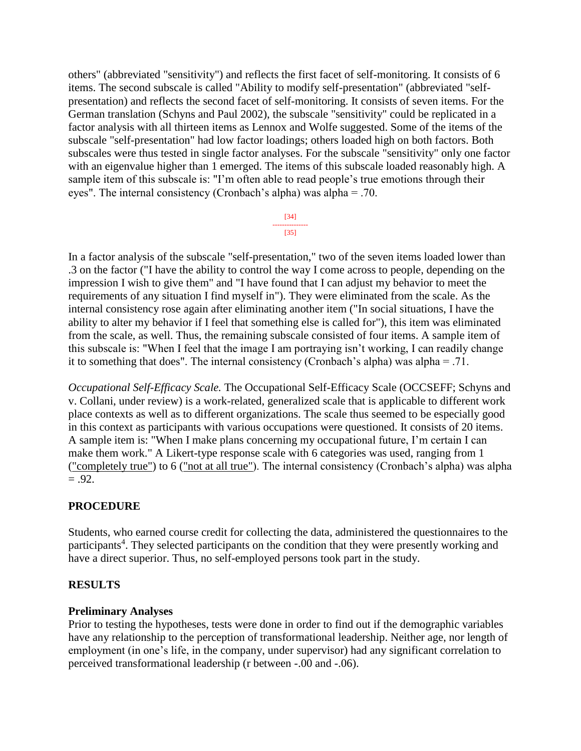others" (abbreviated "sensitivity") and reflects the first facet of self-monitoring. It consists of 6 items. The second subscale is called "Ability to modify self-presentation" (abbreviated "selfpresentation) and reflects the second facet of self-monitoring. It consists of seven items. For the German translation (Schyns and Paul 2002), the subscale "sensitivity" could be replicated in a factor analysis with all thirteen items as Lennox and Wolfe suggested. Some of the items of the subscale "self-presentation" had low factor loadings; others loaded high on both factors. Both subscales were thus tested in single factor analyses. For the subscale "sensitivity" only one factor with an eigenvalue higher than 1 emerged. The items of this subscale loaded reasonably high. A sample item of this subscale is: "I'm often able to read people's true emotions through their eyes". The internal consistency (Cronbach's alpha) was alpha = .70.

> [34] --------------- [35]

In a factor analysis of the subscale "self-presentation," two of the seven items loaded lower than .3 on the factor ("I have the ability to control the way I come across to people, depending on the impression I wish to give them" and "I have found that I can adjust my behavior to meet the requirements of any situation I find myself in"). They were eliminated from the scale. As the internal consistency rose again after eliminating another item ("In social situations, I have the ability to alter my behavior if I feel that something else is called for"), this item was eliminated from the scale, as well. Thus, the remaining subscale consisted of four items. A sample item of this subscale is: "When I feel that the image I am portraying isn't working, I can readily change it to something that does". The internal consistency (Cronbach's alpha) was alpha = .71.

*Occupational Self-Efficacy Scale.* The Occupational Self-Efficacy Scale (OCCSEFF; Schyns and v. Collani, under review) is a work-related, generalized scale that is applicable to different work place contexts as well as to different organizations. The scale thus seemed to be especially good in this context as participants with various occupations were questioned. It consists of 20 items. A sample item is: "When I make plans concerning my occupational future, I'm certain I can make them work." A Likert-type response scale with 6 categories was used, ranging from 1 ("completely true") to 6 ("not at all true"). The internal consistency (Cronbach's alpha) was alpha  $= .92.$ 

## **PROCEDURE**

Students, who earned course credit for collecting the data, administered the questionnaires to the participants<sup>4</sup>. They selected participants on the condition that they were presently working and have a direct superior. Thus, no self-employed persons took part in the study.

#### **RESULTS**

#### **Preliminary Analyses**

Prior to testing the hypotheses, tests were done in order to find out if the demographic variables have any relationship to the perception of transformational leadership. Neither age, nor length of employment (in one's life, in the company, under supervisor) had any significant correlation to perceived transformational leadership (r between -.00 and -.06).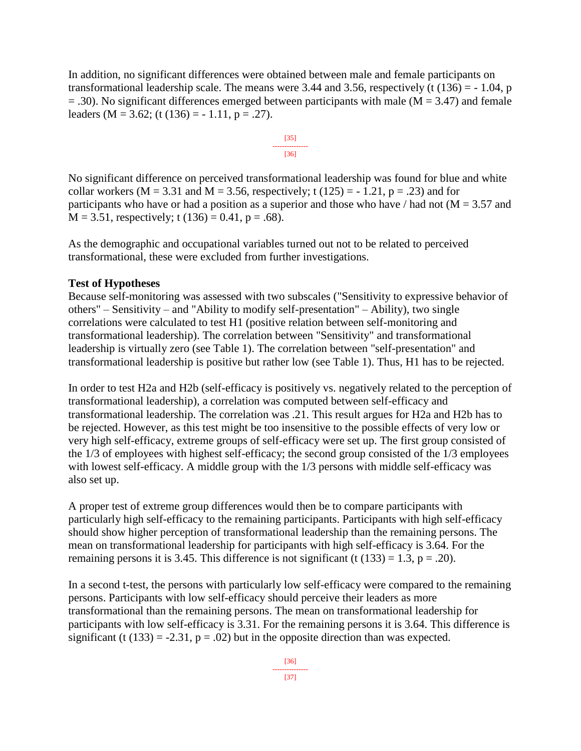In addition, no significant differences were obtained between male and female participants on transformational leadership scale. The means were 3.44 and 3.56, respectively (t  $(136) = -1.04$ , p  $=$  .30). No significant differences emerged between participants with male (M = 3.47) and female leaders (M = 3.62; (t (136) =  $-1.11$ , p = .27).

$$
\begin{array}{c}\n [35] \\
\hline\n [36]\n \end{array}
$$

No significant difference on perceived transformational leadership was found for blue and white collar workers ( $M = 3.31$  and  $M = 3.56$ , respectively; t (125) = -1.21, p = .23) and for participants who have or had a position as a superior and those who have  $/$  had not ( $M = 3.57$  and  $M = 3.51$ , respectively; t (136) = 0.41, p = .68).

As the demographic and occupational variables turned out not to be related to perceived transformational, these were excluded from further investigations.

#### **Test of Hypotheses**

Because self-monitoring was assessed with two subscales ("Sensitivity to expressive behavior of others" – Sensitivity – and "Ability to modify self-presentation" – Ability), two single correlations were calculated to test H1 (positive relation between self-monitoring and transformational leadership). The correlation between "Sensitivity" and transformational leadership is virtually zero (see Table 1). The correlation between "self-presentation" and transformational leadership is positive but rather low (see Table 1). Thus, H1 has to be rejected.

In order to test H2a and H2b (self-efficacy is positively vs. negatively related to the perception of transformational leadership), a correlation was computed between self-efficacy and transformational leadership. The correlation was .21. This result argues for H2a and H2b has to be rejected. However, as this test might be too insensitive to the possible effects of very low or very high self-efficacy, extreme groups of self-efficacy were set up. The first group consisted of the 1/3 of employees with highest self-efficacy; the second group consisted of the 1/3 employees with lowest self-efficacy. A middle group with the 1/3 persons with middle self-efficacy was also set up.

A proper test of extreme group differences would then be to compare participants with particularly high self-efficacy to the remaining participants. Participants with high self-efficacy should show higher perception of transformational leadership than the remaining persons. The mean on transformational leadership for participants with high self-efficacy is 3.64. For the remaining persons it is 3.45. This difference is not significant (t  $(133) = 1.3$ , p = .20).

In a second t-test, the persons with particularly low self-efficacy were compared to the remaining persons. Participants with low self-efficacy should perceive their leaders as more transformational than the remaining persons. The mean on transformational leadership for participants with low self-efficacy is 3.31. For the remaining persons it is 3.64. This difference is significant (t  $(133) = -2.31$ ,  $p = .02$ ) but in the opposite direction than was expected.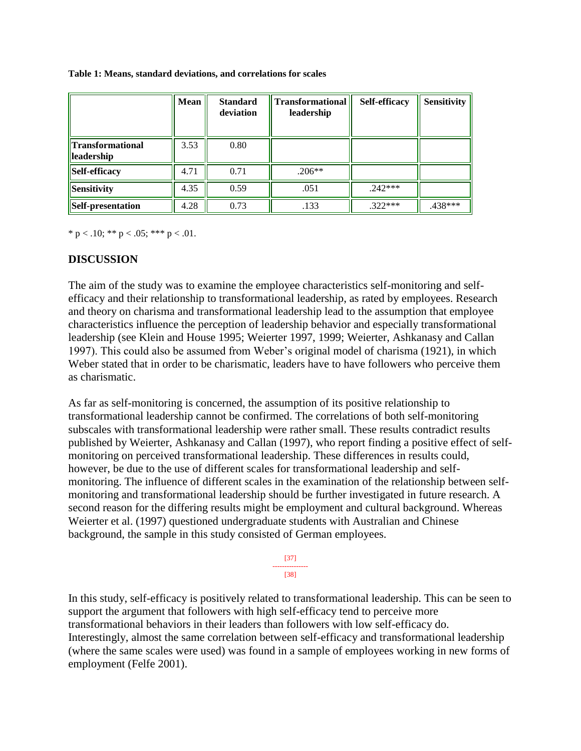|                                       | <b>Mean</b> | <b>Standard</b><br>deviation | <b>Transformational</b><br>leadership | <b>Self-efficacy</b> | <b>Sensitivity</b> |
|---------------------------------------|-------------|------------------------------|---------------------------------------|----------------------|--------------------|
| <b>Transformational</b><br>leadership | 3.53        | 0.80                         |                                       |                      |                    |
| Self-efficacy                         | 4.71        | 0.71                         | $.206**$                              |                      |                    |
| Sensitivity                           | 4.35        | 0.59                         | .051                                  | $.242***$            |                    |
| Self-presentation                     | 4.28        | 0.73                         | .133                                  | $.322***$            | $.438***$          |

#### **Table 1: Means, standard deviations, and correlations for scales**

\* p < .10; \*\* p < .05; \*\*\* p < .01.

### **DISCUSSION**

The aim of the study was to examine the employee characteristics self-monitoring and selfefficacy and their relationship to transformational leadership, as rated by employees. Research and theory on charisma and transformational leadership lead to the assumption that employee characteristics influence the perception of leadership behavior and especially transformational leadership (see Klein and House 1995; Weierter 1997, 1999; Weierter, Ashkanasy and Callan 1997). This could also be assumed from Weber's original model of charisma (1921), in which Weber stated that in order to be charismatic, leaders have to have followers who perceive them as charismatic.

As far as self-monitoring is concerned, the assumption of its positive relationship to transformational leadership cannot be confirmed. The correlations of both self-monitoring subscales with transformational leadership were rather small. These results contradict results published by Weierter, Ashkanasy and Callan (1997), who report finding a positive effect of selfmonitoring on perceived transformational leadership. These differences in results could, however, be due to the use of different scales for transformational leadership and selfmonitoring. The influence of different scales in the examination of the relationship between selfmonitoring and transformational leadership should be further investigated in future research. A second reason for the differing results might be employment and cultural background. Whereas Weierter et al. (1997) questioned undergraduate students with Australian and Chinese background, the sample in this study consisted of German employees.

> [37] --------------- [38]

In this study, self-efficacy is positively related to transformational leadership. This can be seen to support the argument that followers with high self-efficacy tend to perceive more transformational behaviors in their leaders than followers with low self-efficacy do. Interestingly, almost the same correlation between self-efficacy and transformational leadership (where the same scales were used) was found in a sample of employees working in new forms of employment (Felfe 2001).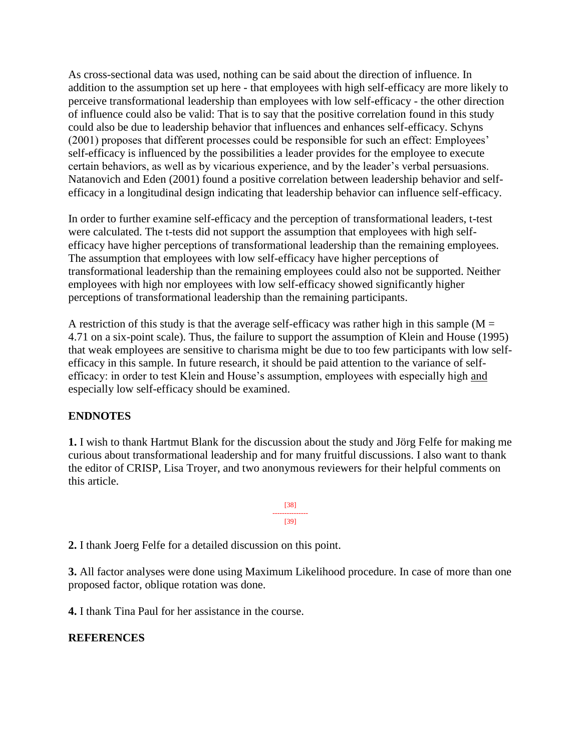As cross-sectional data was used, nothing can be said about the direction of influence. In addition to the assumption set up here - that employees with high self-efficacy are more likely to perceive transformational leadership than employees with low self-efficacy - the other direction of influence could also be valid: That is to say that the positive correlation found in this study could also be due to leadership behavior that influences and enhances self-efficacy. Schyns (2001) proposes that different processes could be responsible for such an effect: Employees' self-efficacy is influenced by the possibilities a leader provides for the employee to execute certain behaviors, as well as by vicarious experience, and by the leader's verbal persuasions. Natanovich and Eden (2001) found a positive correlation between leadership behavior and selfefficacy in a longitudinal design indicating that leadership behavior can influence self-efficacy.

In order to further examine self-efficacy and the perception of transformational leaders, t-test were calculated. The t-tests did not support the assumption that employees with high selfefficacy have higher perceptions of transformational leadership than the remaining employees. The assumption that employees with low self-efficacy have higher perceptions of transformational leadership than the remaining employees could also not be supported. Neither employees with high nor employees with low self-efficacy showed significantly higher perceptions of transformational leadership than the remaining participants.

A restriction of this study is that the average self-efficacy was rather high in this sample ( $M =$ 4.71 on a six-point scale). Thus, the failure to support the assumption of Klein and House (1995) that weak employees are sensitive to charisma might be due to too few participants with low selfefficacy in this sample. In future research, it should be paid attention to the variance of selfefficacy: in order to test Klein and House's assumption, employees with especially high and especially low self-efficacy should be examined.

#### **ENDNOTES**

**1.** I wish to thank Hartmut Blank for the discussion about the study and Jörg Felfe for making me curious about transformational leadership and for many fruitful discussions. I also want to thank the editor of CRISP, Lisa Troyer, and two anonymous reviewers for their helpful comments on this article.

> [38] --------------- [39]

**2.** I thank Joerg Felfe for a detailed discussion on this point.

**3.** All factor analyses were done using Maximum Likelihood procedure. In case of more than one proposed factor, oblique rotation was done.

**4.** I thank Tina Paul for her assistance in the course.

#### **REFERENCES**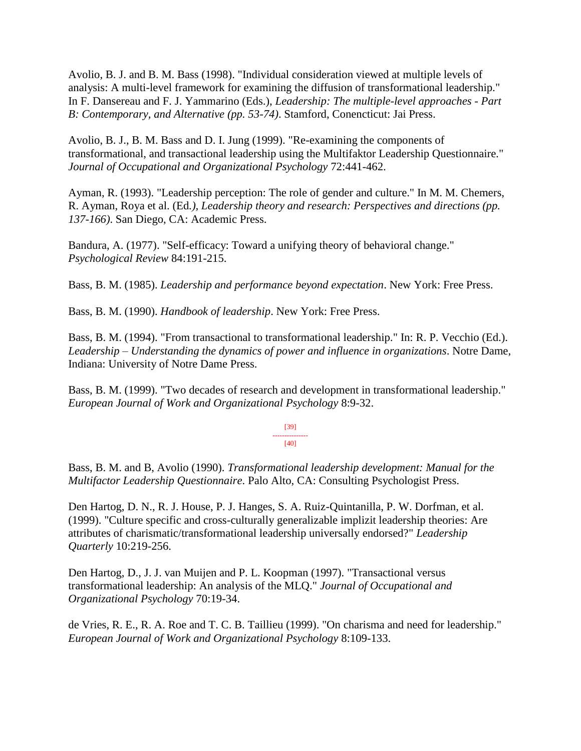Avolio, B. J. and B. M. Bass (1998). "Individual consideration viewed at multiple levels of analysis: A multi-level framework for examining the diffusion of transformational leadership." In F. Dansereau and F. J. Yammarino (Eds.), *Leadership: The multiple-level approaches - Part B: Contemporary, and Alternative (pp. 53-74)*. Stamford, Conencticut: Jai Press.

Avolio, B. J., B. M. Bass and D. I. Jung (1999). "Re-examining the components of transformational, and transactional leadership using the Multifaktor Leadership Questionnaire." *Journal of Occupational and Organizational Psychology* 72:441-462.

Ayman, R. (1993). "Leadership perception: The role of gender and culture." In M. M. Chemers, R. Ayman, Roya et al. (Ed*.), Leadership theory and research: Perspectives and directions (pp. 137-166)*. San Diego, CA: Academic Press.

Bandura, A. (1977). "Self-efficacy: Toward a unifying theory of behavioral change." *Psychological Review* 84:191-215.

Bass, B. M. (1985). *Leadership and performance beyond expectation*. New York: Free Press.

Bass, B. M. (1990). *Handbook of leadership*. New York: Free Press.

Bass, B. M. (1994). "From transactional to transformational leadership." In: R. P. Vecchio (Ed.). *Leadership – Understanding the dynamics of power and influence in organizations*. Notre Dame, Indiana: University of Notre Dame Press.

Bass, B. M. (1999). "Two decades of research and development in transformational leadership." *European Journal of Work and Organizational Psychology* 8:9-32.

> [39] --------------- [40]

Bass, B. M. and B, Avolio (1990). *Transformational leadership development: Manual for the Multifactor Leadership Questionnaire*. Palo Alto, CA: Consulting Psychologist Press.

Den Hartog, D. N., R. J. House, P. J. Hanges, S. A. Ruiz-Quintanilla, P. W. Dorfman, et al. (1999). "Culture specific and cross-culturally generalizable implizit leadership theories: Are attributes of charismatic/transformational leadership universally endorsed?" *Leadership Quarterly* 10:219-256.

Den Hartog, D., J. J. van Muijen and P. L. Koopman (1997). "Transactional versus transformational leadership: An analysis of the MLQ." *Journal of Occupational and Organizational Psychology* 70:19-34.

de Vries, R. E., R. A. Roe and T. C. B. Taillieu (1999). "On charisma and need for leadership." *European Journal of Work and Organizational Psychology* 8:109-133.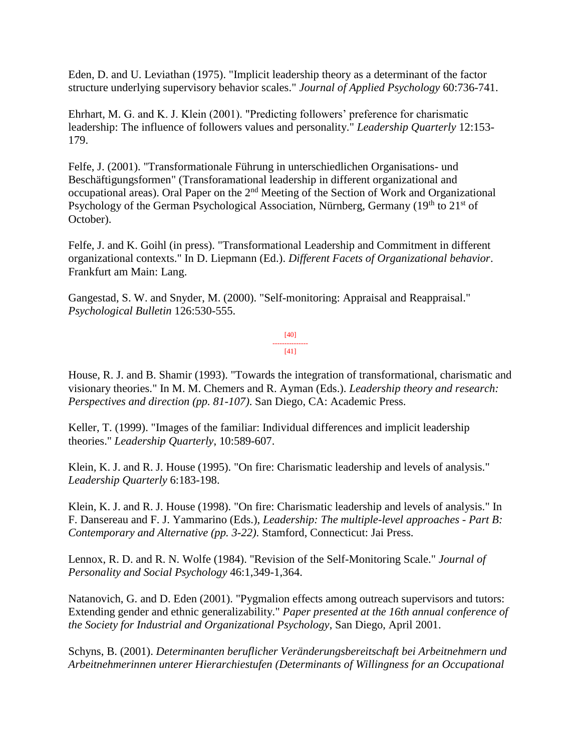Eden, D. and U. Leviathan (1975). "Implicit leadership theory as a determinant of the factor structure underlying supervisory behavior scales." *Journal of Applied Psychology* 60:736-741.

Ehrhart, M. G. and K. J. Klein (2001). "Predicting followers' preference for charismatic leadership: The influence of followers values and personality." *Leadership Quarterly* 12:153- 179.

Felfe, J. (2001). "Transformationale Führung in unterschiedlichen Organisations- und Beschäftigungsformen" (Transforamational leadership in different organizational and occupational areas). Oral Paper on the  $2<sup>nd</sup>$  Meeting of the Section of Work and Organizational Psychology of the German Psychological Association, Nürnberg, Germany  $(19<sup>th</sup>$  to  $21<sup>st</sup>$  of October).

Felfe, J. and K. Goihl (in press). "Transformational Leadership and Commitment in different organizational contexts." In D. Liepmann (Ed.). *Different Facets of Organizational behavior*. Frankfurt am Main: Lang.

Gangestad, S. W. and Snyder, M. (2000). "Self-monitoring: Appraisal and Reappraisal." *Psychological Bulletin* 126:530-555.

> [40] --------------- [41]

House, R. J. and B. Shamir (1993). "Towards the integration of transformational, charismatic and visionary theories." In M. M. Chemers and R. Ayman (Eds.). *Leadership theory and research: Perspectives and direction (pp. 81-107)*. San Diego, CA: Academic Press.

Keller, T. (1999). "Images of the familiar: Individual differences and implicit leadership theories." *Leadership Quarterly*, 10:589-607.

Klein, K. J. and R. J. House (1995). "On fire: Charismatic leadership and levels of analysis." *Leadership Quarterly* 6:183-198.

Klein, K. J. and R. J. House (1998). "On fire: Charismatic leadership and levels of analysis." In F. Dansereau and F. J. Yammarino (Eds.), *Leadership: The multiple-level approaches - Part B: Contemporary and Alternative (pp. 3-22)*. Stamford, Connecticut: Jai Press.

Lennox, R. D. and R. N. Wolfe (1984). "Revision of the Self-Monitoring Scale." *Journal of Personality and Social Psychology* 46:1,349-1,364.

Natanovich, G. and D. Eden (2001). "Pygmalion effects among outreach supervisors and tutors: Extending gender and ethnic generalizability." *Paper presented at the 16th annual conference of the Society for Industrial and Organizational Psychology*, San Diego, April 2001.

Schyns, B. (2001). *Determinanten beruflicher Veränderungsbereitschaft bei Arbeitnehmern und Arbeitnehmerinnen unterer Hierarchiestufen (Determinants of Willingness for an Occupational*